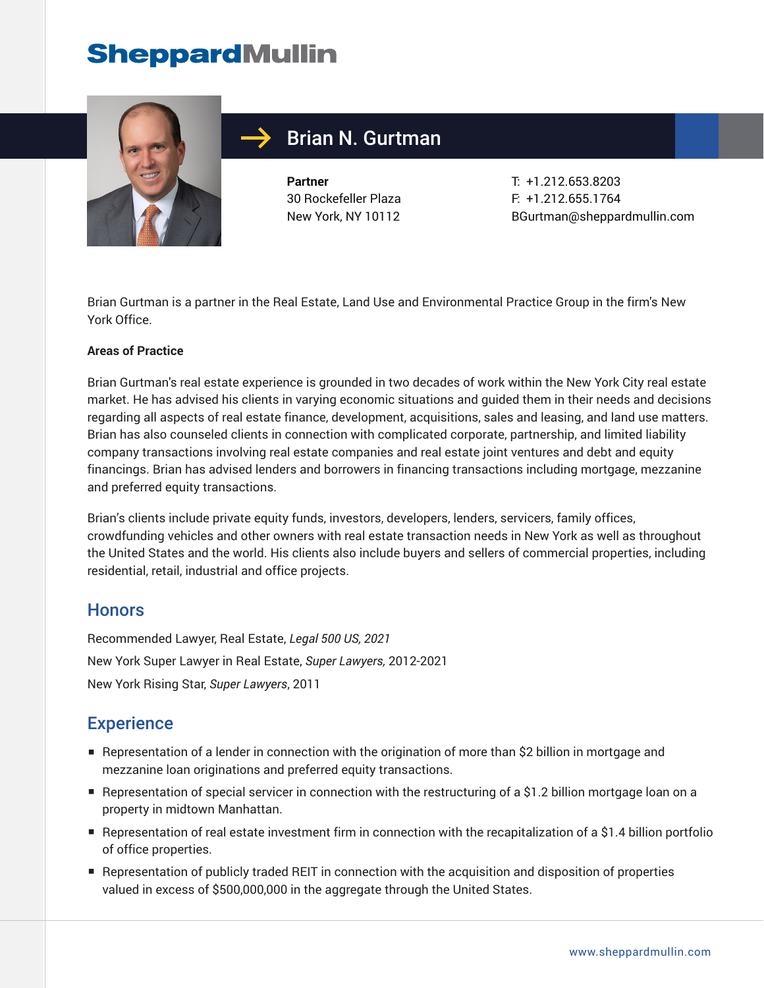# **SheppardMullin**



### Brian N. Gurtman

**Partner** 30 Rockefeller Plaza New York, NY 10112 T: +1.212.653.8203 F: +1.212.655.1764 BGurtman@sheppardmullin.com

Brian Gurtman is a partner in the Real Estate, Land Use and Environmental Practice Group in the firm's New York Office.

#### **Areas of Practice**

Brian Gurtman's real estate experience is grounded in two decades of work within the New York City real estate market. He has advised his clients in varying economic situations and guided them in their needs and decisions regarding all aspects of real estate finance, development, acquisitions, sales and leasing, and land use matters. Brian has also counseled clients in connection with complicated corporate, partnership, and limited liability company transactions involving real estate companies and real estate joint ventures and debt and equity financings. Brian has advised lenders and borrowers in financing transactions including mortgage, mezzanine and preferred equity transactions.

Brian's clients include private equity funds, investors, developers, lenders, servicers, family offices, crowdfunding vehicles and other owners with real estate transaction needs in New York as well as throughout the United States and the world. His clients also include buyers and sellers of commercial properties, including residential, retail, industrial and office projects.

#### **Honors**

Recommended Lawyer, Real Estate, *Legal 500 US, 2021* New York Super Lawyer in Real Estate, *Super Lawyers,* 2012-2021 New York Rising Star, *Super Lawyers*, 2011

#### **Experience**

- Representation of a lender in connection with the origination of more than \$2 billion in mortgage and mezzanine loan originations and preferred equity transactions.
- Representation of special servicer in connection with the restructuring of a \$1.2 billion mortgage loan on a property in midtown Manhattan.
- Representation of real estate investment firm in connection with the recapitalization of a \$1.4 billion portfolio of office properties.
- Representation of publicly traded REIT in connection with the acquisition and disposition of properties valued in excess of \$500,000,000 in the aggregate through the United States.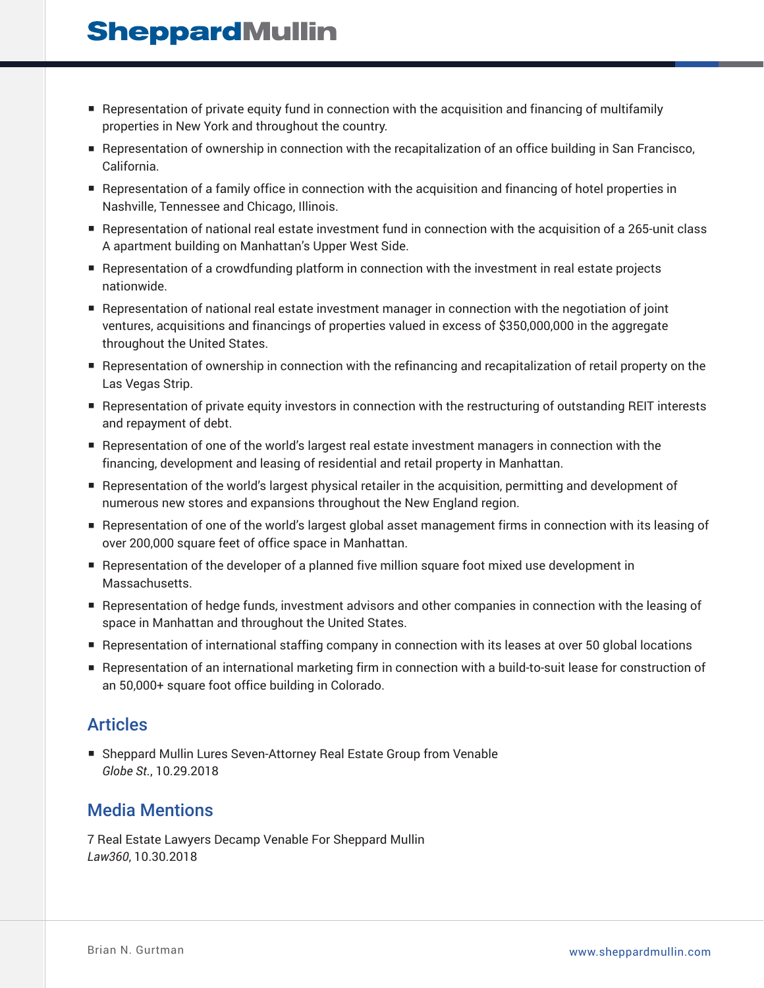## **SheppardMullin**

- Representation of private equity fund in connection with the acquisition and financing of multifamily properties in New York and throughout the country.
- Representation of ownership in connection with the recapitalization of an office building in San Francisco, California.
- Representation of a family office in connection with the acquisition and financing of hotel properties in Nashville, Tennessee and Chicago, Illinois.
- Representation of national real estate investment fund in connection with the acquisition of a 265-unit class A apartment building on Manhattan's Upper West Side.
- Representation of a crowdfunding platform in connection with the investment in real estate projects nationwide.
- Representation of national real estate investment manager in connection with the negotiation of joint ventures, acquisitions and financings of properties valued in excess of \$350,000,000 in the aggregate throughout the United States.
- Representation of ownership in connection with the refinancing and recapitalization of retail property on the Las Vegas Strip.
- Representation of private equity investors in connection with the restructuring of outstanding REIT interests and repayment of debt.
- Representation of one of the world's largest real estate investment managers in connection with the financing, development and leasing of residential and retail property in Manhattan.
- Representation of the world's largest physical retailer in the acquisition, permitting and development of numerous new stores and expansions throughout the New England region.
- Representation of one of the world's largest global asset management firms in connection with its leasing of over 200,000 square feet of office space in Manhattan.
- Representation of the developer of a planned five million square foot mixed use development in Massachusetts.
- Representation of hedge funds, investment advisors and other companies in connection with the leasing of space in Manhattan and throughout the United States.
- Representation of international staffing company in connection with its leases at over 50 global locations
- Representation of an international marketing firm in connection with a build-to-suit lease for construction of an 50,000+ square foot office building in Colorado.

#### Articles

■ Sheppard Mullin Lures Seven-Attorney Real Estate Group from Venable *Globe St.*, 10.29.2018

#### Media Mentions

7 Real Estate Lawyers Decamp Venable For Sheppard Mullin *Law360*, 10.30.2018